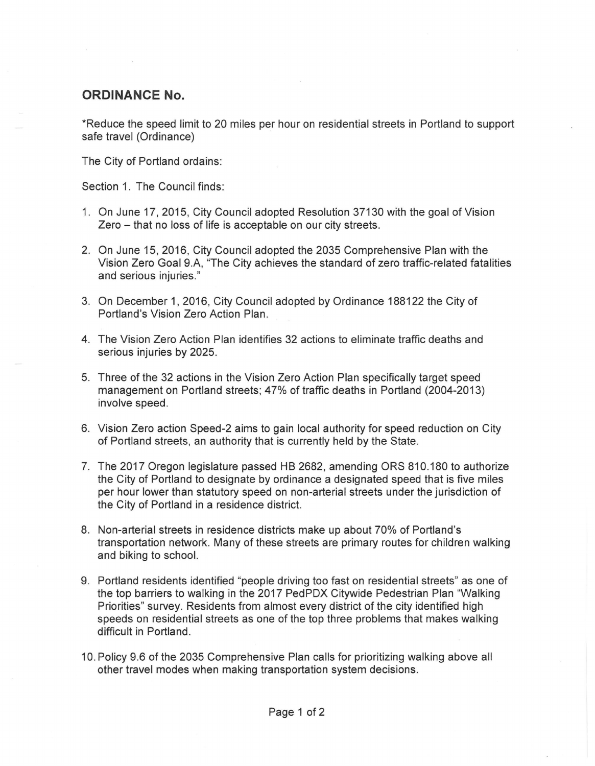## **ORDINANCE No.**

\*Reduce the speed limit to 20 miles per hour on residential streets in Portland to support safe travel (Ordinance)

The City of Portland ordains:

Section 1. The Council finds:

- 1. On June 17, 2015, City Council adopted Resolution 37130 with the goal of Vision Zero - that no loss of life is acceptable on our city streets.
- 2. On June 15, 2016, City Council adopted the 2035 Comprehensive Plan with the Vision Zero Goal 9.A, "The City achieves the standard of zero traffic-related fatalities and serious injuries."
- 3. On December 1, 2016, City Council adopted by Ordinance 188122 the City of Portland's Vision Zero Action Plan.
- 4. The Vision Zero Action Plan identifies 32 actions to eliminate traffic deaths and serious injuries by 2025.
- 5. Three of the 32 actions in the Vision Zero Action Plan specifically target speed management on Portland streets; 47% of traffic deaths in Portland (2004-2013) involve speed.
- 6. Vision Zero action Speed-2 aims to gain local authority for speed reduction on City of Portland streets, an authority that is currently held by the State.
- 7. The 2017 Oregon legislature passed HB 2682, amending ORS 810.180 to authorize the City of Portland to designate by ordinance a designated speed that is five miles per hour lower than statutory speed on non-arterial streets under the jurisdiction of the City of Portland in a residence district.
- 8. Non-arterial streets in residence districts make up about 70% of Portland's transportation network. Many of these streets are primary routes for children walking and biking to school.
- 9. Portland residents identified "people driving too fast on residential streets" as one of the top barriers to walking in the 2017 PedPDX Citywide Pedestrian Plan "Walking Priorities" survey. Residents from almost every district of the city identified high speeds on residential streets as one of the top three problems that makes walking difficult in Portland.
- 10. Policy 9.6 of the 2035 Comprehensive Plan calls for prioritizing walking above all other travel modes when making transportation system decisions.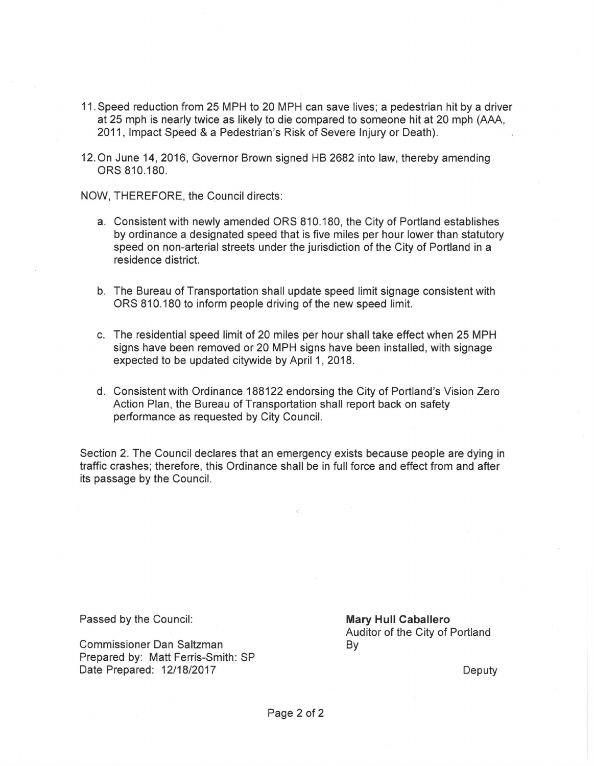- 11. Speed reduction from 25 MPH to 20 MPH can save lives; a pedestrian hit by a driver at 25 mph is nearly twice as likely to die compared to someone hit at 20 mph (AAA, 2011 , Impact Speed & a Pedestrian's Risk of Severe Injury or Death).
- 12. On June 14, 2016, Governor Brown signed HB 2682 into law, thereby amending ORS 810.180.

NOW, THEREFORE, the Council directs:

- a. Consistent with newly amended ORS 810.180, the City of Portland establishes by ordinance a designated speed that is five miles per hour lower than statutory speed on non-arterial streets under the jurisdiction of the City of Portland in a residence district.
- b. The Bureau of Transportation shall update speed limit signage consistent with ORS 810.180 to inform people driving of the new speed limit.
- c. The residential speed limit of 20 miles per hour shall take effect when 25 MPH signs have been removed or 20 MPH signs have been installed, with signage expected to be updated citywide by April 1, 2018.
- d. Consistent with Ordinance 188122 endorsing the City of Portland's Vision Zero Action Plan, the Bureau of Transportation shall report back on safety performance as requested by City Council.

Section 2. The Council declares that an emergency exists because people are dying in traffic crashes; therefore, this Ordinance shall be in full force and effect from and after its passage by the Council.

Passed by the Council:

Commissioner Dan Saltzman Prepared by: Matt Ferris-Smith: SP Date Prepared: 12/18/2017

**Mary Hull Caballero**  Auditor of the City of Portland By

Deputy